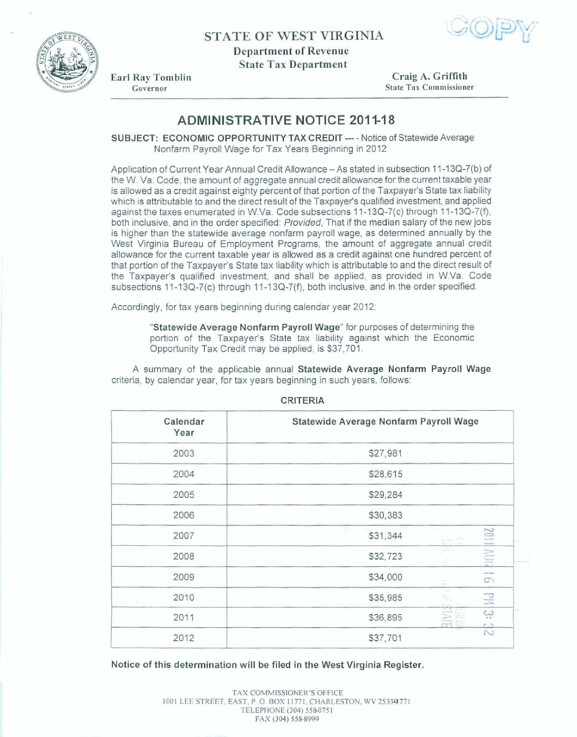





Earl Ray Tomblin Governor

**Craig A. GriEth State Tax Commissioner** 

## **ADMINISTRATIVE NOTICE 2011-18**

**SUBJECT: ECONOMIC OPPORTUNITY TAX CREDIT ---- Notice of Statewide Average** Nonfarm **Payroll Wage for Tax Years Beginning in 2012** 

**Application of Current Year Annual Credit Allowance** - **As stated in subsection** 1 **1 -13Q-7(b) of**  the W. Va. Code, the amount of aggregate annual credit allowance for the current taxable year **is allowed as a credit against eighty percent** of **that** portion **of the Taxpayer's State tax liability**  which is attributable to and the direct result of the Taxpayer's qualified investment, and applied **against the taxes enumerated in W.Va. Coda subsections** 1 **1-1 341-7(c) through 1** A-1 **3Q-7(f), both inclusive, and in the order specified:** *Provided,* That if the **median salary** of **the** new **jobs is higher than the statewide average** nonfarm **payroll wage, as determined annually by the West Virginia Bureau of Employment Programs, the 'amount of aggregate annual credit aRowance for the current taxable year is allowed as a credit against** one **hundred percent of that portion of the Taxpayer's State tax liability which is attributable** to **and the direct result of**  the Taxpayer's qualified investment, and shall be applied, as provided in W.Va. Code subsections 11-13Q-7(c) through 11-13Q-7(f), both inclusive, and in the order specified.

**Accordingly, for tax years beginning during calender year 2012:** 

**"Statewide Average Nonfarm Payroll Wage" far purposes of determining the**  portion of the **Taxpayer's State tax liability against** which **the Economic Opportunity Tax Credit may** *be* **applied, is \$37,701.** 

**A** surnmav of **the applicable annual Statewide Average Nonfarm PayrolI Wage criteria, by calendar year, for tax years beginning in such years, follows:** 

| Calendar<br>Year | Statewide Average Nonfarm Payroll Wage |       |                            |
|------------------|----------------------------------------|-------|----------------------------|
| 2003             | \$27,981                               |       |                            |
| 2004             | \$28,615                               |       |                            |
| 2005             | \$29,284                               |       |                            |
| 2006             | \$30,383                               |       |                            |
| 2007             | $\overline{\phantom{a}}$<br>\$31,344   | e es: |                            |
| 2008             | \$32,723                               |       | <b>2011 AUG</b>            |
| 2009             | \$34,000                               |       | <b>Hillard</b><br>$\sigma$ |
| 2010             | \$35,985                               |       | 굕                          |
| 2011             | \$36,895                               |       | $\omega$                   |
| 2012             | \$37,701                               |       | $\frac{c}{\infty}$         |

**CRITERIA** 

**Notice of this determination will be filed In the West Virginia Register.**